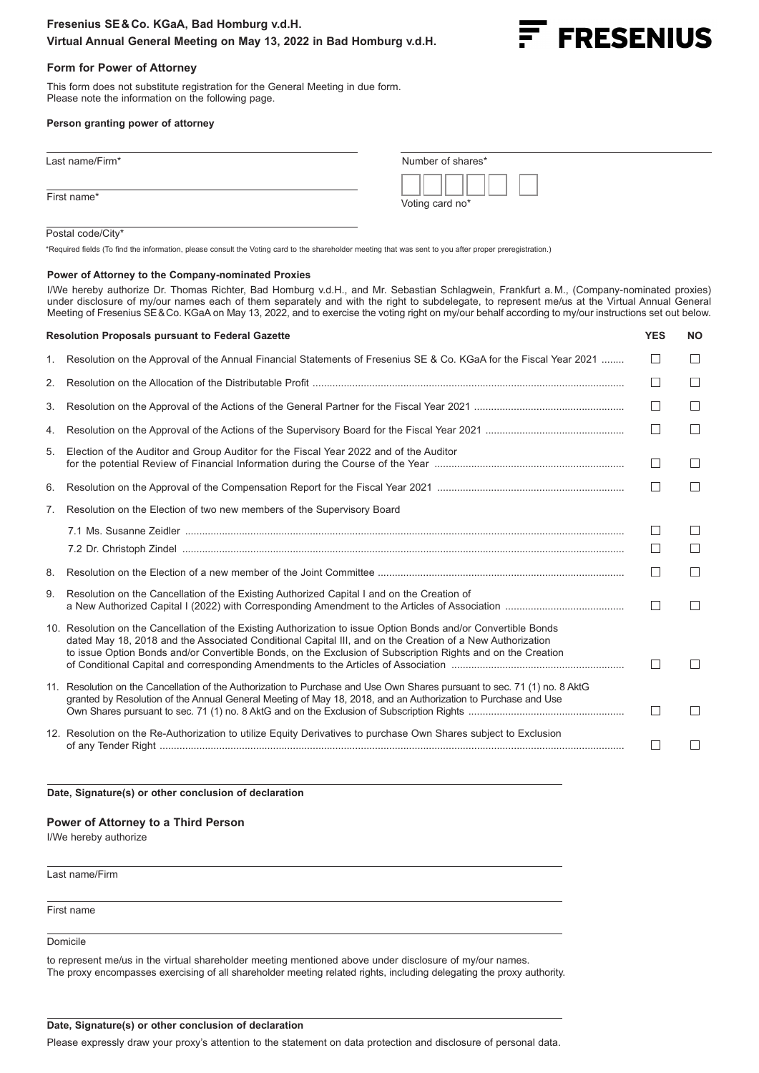# **Fresenius SE&Co. KGaA, Bad Homburg v.d.H. Virtual Annual General Meeting on May 13, 2022 in Bad Homburg v.d.H.**



# **Form for Power of Attorney**

This form does not substitute registration for the General Meeting in due form. Please note the information on the following page.

#### **Person granting power of attorney**

| Last name/Firm* | Number of shares* |
|-----------------|-------------------|
| First name*     | Voting card no*   |

### Postal code/City\*

\*Required fields (To find the information, please consult the Voting card to the shareholder meeting that was sent to you after proper preregistration.)

#### **Power of Attorney to the Company-nominated Proxies**

I/We hereby authorize Dr. Thomas Richter, Bad Homburg v.d.H., and Mr. Sebastian Schlagwein, Frankfurt a.M., (Company-nominated proxies) under disclosure of my/our names each of them separately and with the right to subdelegate, to represent me/us at the Virtual Annual General Meeting of Fresenius SE&Co. KGaA on May 13, 2022, and to exercise the voting right on my/our behalf according to my/our instructions set out below.

| <b>Resolution Proposals pursuant to Federal Gazette</b> |                                                                                                                                                                                                                                                                                                                                             | <b>YES</b> | <b>NO</b>    |
|---------------------------------------------------------|---------------------------------------------------------------------------------------------------------------------------------------------------------------------------------------------------------------------------------------------------------------------------------------------------------------------------------------------|------------|--------------|
| 1.                                                      | Resolution on the Approval of the Annual Financial Statements of Fresenius SE & Co. KGaA for the Fiscal Year 2021                                                                                                                                                                                                                           | П          | $\Box$       |
| 2.                                                      |                                                                                                                                                                                                                                                                                                                                             | $\perp$    | $\Box$       |
| 3.                                                      |                                                                                                                                                                                                                                                                                                                                             | $\Box$     | $\Box$       |
| 4.                                                      |                                                                                                                                                                                                                                                                                                                                             | $\Box$     | П            |
| 5.                                                      | Election of the Auditor and Group Auditor for the Fiscal Year 2022 and of the Auditor                                                                                                                                                                                                                                                       | $\Box$     | П            |
| 6.                                                      |                                                                                                                                                                                                                                                                                                                                             | $\perp$    |              |
| 7.                                                      | Resolution on the Election of two new members of the Supervisory Board                                                                                                                                                                                                                                                                      |            |              |
|                                                         |                                                                                                                                                                                                                                                                                                                                             | $\perp$    | $\mathbf{1}$ |
|                                                         |                                                                                                                                                                                                                                                                                                                                             |            | П            |
| 8.                                                      |                                                                                                                                                                                                                                                                                                                                             | $\Box$     | П            |
| 9.                                                      | Resolution on the Cancellation of the Existing Authorized Capital I and on the Creation of                                                                                                                                                                                                                                                  | П          | П            |
|                                                         | 10. Resolution on the Cancellation of the Existing Authorization to issue Option Bonds and/or Convertible Bonds<br>dated May 18, 2018 and the Associated Conditional Capital III, and on the Creation of a New Authorization<br>to issue Option Bonds and/or Convertible Bonds, on the Exclusion of Subscription Rights and on the Creation |            | $\mathbf{L}$ |
|                                                         | 11. Resolution on the Cancellation of the Authorization to Purchase and Use Own Shares pursuant to sec. 71 (1) no. 8 AktG<br>granted by Resolution of the Annual General Meeting of May 18, 2018, and an Authorization to Purchase and Use                                                                                                  | П          | П            |
|                                                         | 12. Resolution on the Re-Authorization to utilize Equity Derivatives to purchase Own Shares subject to Exclusion                                                                                                                                                                                                                            |            |              |

#### **Date, Signature(s) or other conclusion of declaration**

# **Power of Attorney to a Third Person**

I/We hereby authorize

Last name/Firm

First name

Domicile

to represent me/us in the virtual shareholder meeting mentioned above under disclosure of my/our names.

The proxy encompasses exercising of all shareholder meeting related rights, including delegating the proxy authority.

Please expressly draw your proxy's attention to the statement on data protection and disclosure of personal data.